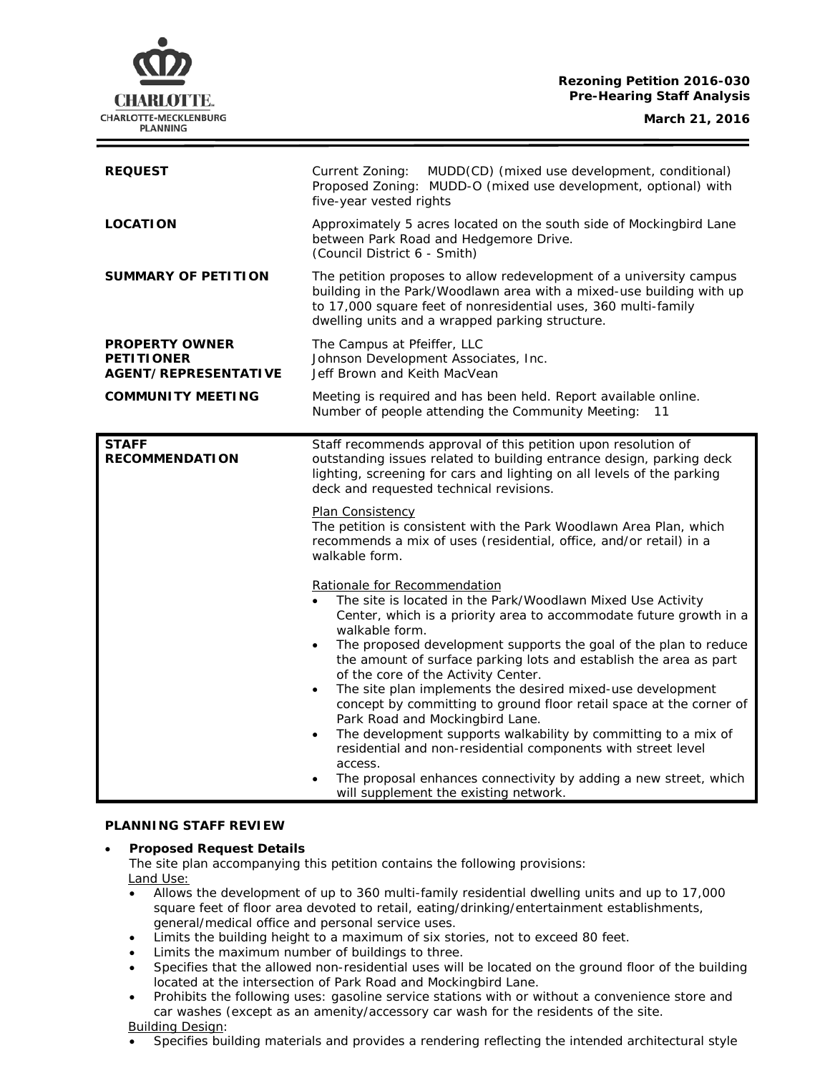## **Rezoning Petition 2016-030 Pre-Hearing Staff Analysis**

CHARLOTTE. CHARLOTTE-MECKLENBURG **PLANNING** 

| <b>REQUEST</b>                                                            | MUDD(CD) (mixed use development, conditional)<br>Current Zoning:<br>Proposed Zoning: MUDD-O (mixed use development, optional) with<br>five-year vested rights                                                                                                                                                                                                                                                                                                                                                                                                                                                                                                                                                                                                                                         |
|---------------------------------------------------------------------------|-------------------------------------------------------------------------------------------------------------------------------------------------------------------------------------------------------------------------------------------------------------------------------------------------------------------------------------------------------------------------------------------------------------------------------------------------------------------------------------------------------------------------------------------------------------------------------------------------------------------------------------------------------------------------------------------------------------------------------------------------------------------------------------------------------|
| <b>LOCATION</b>                                                           | Approximately 5 acres located on the south side of Mockingbird Lane<br>between Park Road and Hedgemore Drive.<br>(Council District 6 - Smith)                                                                                                                                                                                                                                                                                                                                                                                                                                                                                                                                                                                                                                                         |
| <b>SUMMARY OF PETITION</b>                                                | The petition proposes to allow redevelopment of a university campus<br>building in the Park/Woodlawn area with a mixed-use building with up<br>to 17,000 square feet of nonresidential uses, 360 multi-family<br>dwelling units and a wrapped parking structure.                                                                                                                                                                                                                                                                                                                                                                                                                                                                                                                                      |
| <b>PROPERTY OWNER</b><br><b>PETITIONER</b><br><b>AGENT/REPRESENTATIVE</b> | The Campus at Pfeiffer, LLC<br>Johnson Development Associates, Inc.<br>Jeff Brown and Keith MacVean                                                                                                                                                                                                                                                                                                                                                                                                                                                                                                                                                                                                                                                                                                   |
| <b>COMMUNITY MEETING</b>                                                  | Meeting is required and has been held. Report available online.<br>Number of people attending the Community Meeting:<br>11                                                                                                                                                                                                                                                                                                                                                                                                                                                                                                                                                                                                                                                                            |
| <b>STAFF</b><br><b>RECOMMENDATION</b>                                     | Staff recommends approval of this petition upon resolution of<br>outstanding issues related to building entrance design, parking deck<br>lighting, screening for cars and lighting on all levels of the parking<br>deck and requested technical revisions.<br>Plan Consistency                                                                                                                                                                                                                                                                                                                                                                                                                                                                                                                        |
|                                                                           | The petition is consistent with the Park Woodlawn Area Plan, which<br>recommends a mix of uses (residential, office, and/or retail) in a<br>walkable form.                                                                                                                                                                                                                                                                                                                                                                                                                                                                                                                                                                                                                                            |
|                                                                           | Rationale for Recommendation<br>The site is located in the Park/Woodlawn Mixed Use Activity<br>Center, which is a priority area to accommodate future growth in a<br>walkable form.<br>The proposed development supports the goal of the plan to reduce<br>the amount of surface parking lots and establish the area as part<br>of the core of the Activity Center.<br>The site plan implements the desired mixed-use development<br>concept by committing to ground floor retail space at the corner of<br>Park Road and Mockingbird Lane.<br>The development supports walkability by committing to a mix of<br>residential and non-residential components with street level<br>access.<br>The proposal enhances connectivity by adding a new street, which<br>will supplement the existing network. |

### **PLANNING STAFF REVIEW**

### • **Proposed Request Details**

The site plan accompanying this petition contains the following provisions: Land Use:

- Allows the development of up to 360 multi-family residential dwelling units and up to 17,000 square feet of floor area devoted to retail, eating/drinking/entertainment establishments, general/medical office and personal service uses.
- Limits the building height to a maximum of six stories, not to exceed 80 feet.
- Limits the maximum number of buildings to three.
- Specifies that the allowed non-residential uses will be located on the ground floor of the building located at the intersection of Park Road and Mockingbird Lane.
- Prohibits the following uses: gasoline service stations with or without a convenience store and car washes (except as an amenity/accessory car wash for the residents of the site.
- Building Design:
- Specifies building materials and provides a rendering reflecting the intended architectural style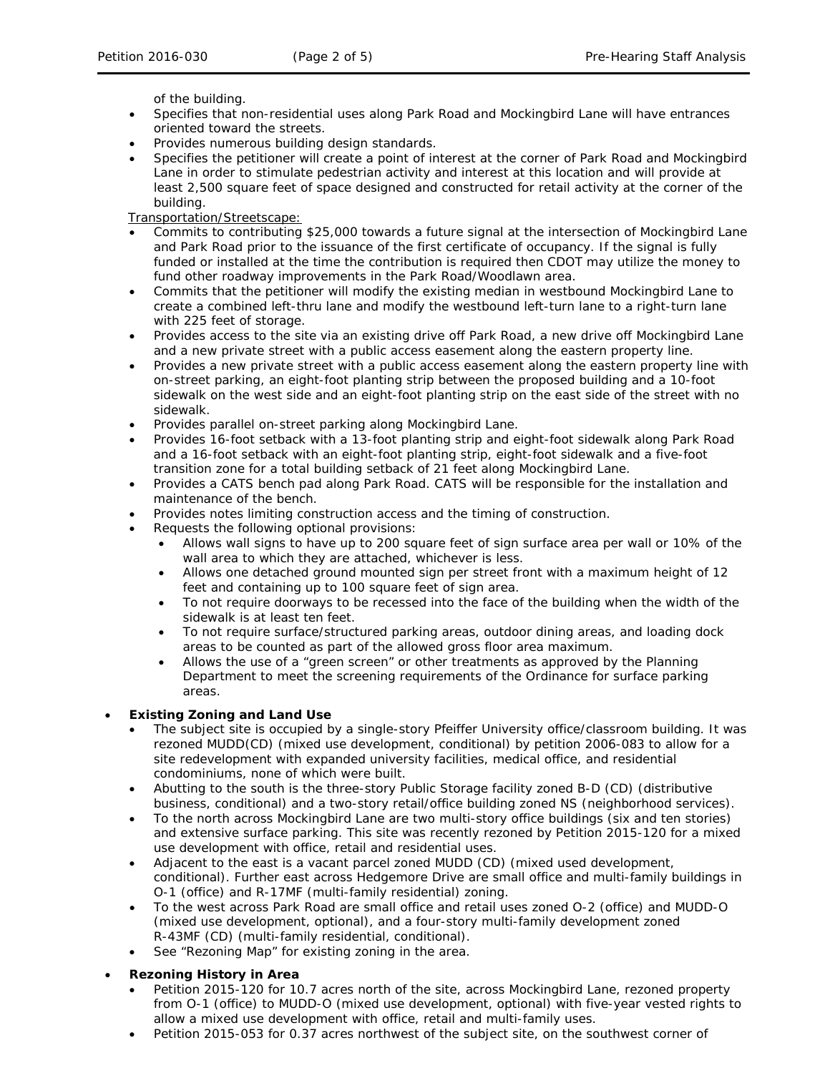of the building.

- Specifies that non-residential uses along Park Road and Mockingbird Lane will have entrances oriented toward the streets.
- Provides numerous building design standards.
- Specifies the petitioner will create a point of interest at the corner of Park Road and Mockingbird Lane in order to stimulate pedestrian activity and interest at this location and will provide at least 2,500 square feet of space designed and constructed for retail activity at the corner of the building.

Transportation/Streetscape:

- Commits to contributing \$25,000 towards a future signal at the intersection of Mockingbird Lane and Park Road prior to the issuance of the first certificate of occupancy. If the signal is fully funded or installed at the time the contribution is required then CDOT may utilize the money to fund other roadway improvements in the Park Road/Woodlawn area.
- Commits that the petitioner will modify the existing median in westbound Mockingbird Lane to create a combined left-thru lane and modify the westbound left-turn lane to a right-turn lane with 225 feet of storage.
- Provides access to the site via an existing drive off Park Road, a new drive off Mockingbird Lane and a new private street with a public access easement along the eastern property line.
- Provides a new private street with a public access easement along the eastern property line with on-street parking, an eight-foot planting strip between the proposed building and a 10-foot sidewalk on the west side and an eight-foot planting strip on the east side of the street with no sidewalk.
- Provides parallel on-street parking along Mockingbird Lane.
- Provides 16-foot setback with a 13-foot planting strip and eight-foot sidewalk along Park Road and a 16-foot setback with an eight-foot planting strip, eight-foot sidewalk and a five-foot transition zone for a total building setback of 21 feet along Mockingbird Lane.
- Provides a CATS bench pad along Park Road. CATS will be responsible for the installation and maintenance of the bench.
- Provides notes limiting construction access and the timing of construction.
- Requests the following optional provisions:
	- Allows wall signs to have up to 200 square feet of sign surface area per wall or 10% of the wall area to which they are attached, whichever is less.
	- Allows one detached ground mounted sign per street front with a maximum height of 12 feet and containing up to 100 square feet of sign area.
	- To not require doorways to be recessed into the face of the building when the width of the sidewalk is at least ten feet.
	- To not require surface/structured parking areas, outdoor dining areas, and loading dock areas to be counted as part of the allowed gross floor area maximum.
	- Allows the use of a "green screen" or other treatments as approved by the Planning Department to meet the screening requirements of the Ordinance for surface parking areas.

## • **Existing Zoning and Land Use**

- The subject site is occupied by a single-story Pfeiffer University office/classroom building. It was rezoned MUDD(CD) (mixed use development, conditional) by petition 2006-083 to allow for a site redevelopment with expanded university facilities, medical office, and residential condominiums, none of which were built.
- Abutting to the south is the three-story Public Storage facility zoned B-D (CD) (distributive business, conditional) and a two-story retail/office building zoned NS (neighborhood services).
- To the north across Mockingbird Lane are two multi-story office buildings (six and ten stories) and extensive surface parking. This site was recently rezoned by Petition 2015-120 for a mixed use development with office, retail and residential uses.
- Adjacent to the east is a vacant parcel zoned MUDD (CD) (mixed used development, conditional). Further east across Hedgemore Drive are small office and multi-family buildings in O-1 (office) and R-17MF (multi-family residential) zoning.
- To the west across Park Road are small office and retail uses zoned O-2 (office) and MUDD-O (mixed use development, optional), and a four-story multi-family development zoned R-43MF (CD) (multi-family residential, conditional).
- See "Rezoning Map" for existing zoning in the area.
- **Rezoning History in Area**
	- Petition 2015-120 for 10.7 acres north of the site, across Mockingbird Lane, rezoned property from O-1 (office) to MUDD-O (mixed use development, optional) with five-year vested rights to allow a mixed use development with office, retail and multi-family uses.
	- Petition 2015-053 for 0.37 acres northwest of the subject site, on the southwest corner of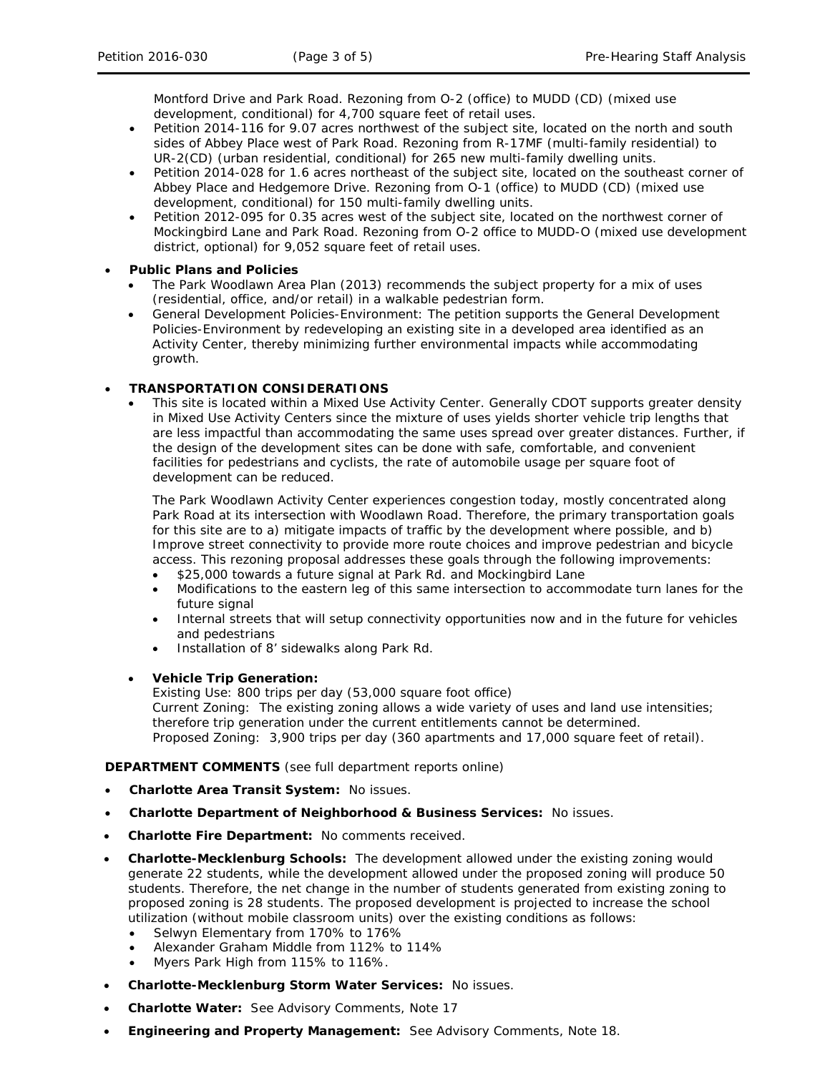Montford Drive and Park Road. Rezoning from O-2 (office) to MUDD (CD) (mixed use development, conditional) for 4,700 square feet of retail uses.

- Petition 2014-116 for 9.07 acres northwest of the subject site, located on the north and south sides of Abbey Place west of Park Road. Rezoning from R-17MF (multi-family residential) to UR-2(CD) (urban residential, conditional) for 265 new multi-family dwelling units.
- Petition 2014-028 for 1.6 acres northeast of the subject site, located on the southeast corner of Abbey Place and Hedgemore Drive. Rezoning from O-1 (office) to MUDD (CD) (mixed use development, conditional) for 150 multi-family dwelling units.
- Petition 2012-095 for 0.35 acres west of the subject site, located on the northwest corner of Mockingbird Lane and Park Road. Rezoning from O-2 office to MUDD-O (mixed use development district, optional) for 9,052 square feet of retail uses.

## • **Public Plans and Policies**

- *The Park Woodlawn Area Plan (2013)* recommends the subject property for a mix of uses (residential, office, and/or retail) in a walkable pedestrian form.
- *General Development Policies-Environment:* The petition supports the *General Development Policies-Environment* by redeveloping an existing site in a developed area identified as an Activity Center, thereby minimizing further environmental impacts while accommodating growth.

# • **TRANSPORTATION CONSIDERATIONS**

• This site is located within a Mixed Use Activity Center. Generally CDOT supports greater density in Mixed Use Activity Centers since the mixture of uses yields shorter vehicle trip lengths that are less impactful than accommodating the same uses spread over greater distances. Further, if the design of the development sites can be done with safe, comfortable, and convenient facilities for pedestrians and cyclists, the rate of automobile usage per square foot of development can be reduced.

The Park Woodlawn Activity Center experiences congestion today, mostly concentrated along Park Road at its intersection with Woodlawn Road. Therefore, the primary transportation goals for this site are to a) mitigate impacts of traffic by the development where possible, and b) Improve street connectivity to provide more route choices and improve pedestrian and bicycle access. This rezoning proposal addresses these goals through the following improvements:

- \$25,000 towards a future signal at Park Rd. and Mockingbird Lane
- Modifications to the eastern leg of this same intersection to accommodate turn lanes for the future signal
- Internal streets that will setup connectivity opportunities now and in the future for vehicles and pedestrians
- Installation of 8' sidewalks along Park Rd.
- **Vehicle Trip Generation:**

Existing Use: 800 trips per day (53,000 square foot office) Current Zoning: The existing zoning allows a wide variety of uses and land use intensities; therefore trip generation under the current entitlements cannot be determined. Proposed Zoning: 3,900 trips per day (360 apartments and 17,000 square feet of retail).

**DEPARTMENT COMMENTS** (see full department reports online)

- **Charlotte Area Transit System:** No issues.
- **Charlotte Department of Neighborhood & Business Services:** No issues.
- **Charlotte Fire Department:** No comments received.
- **Charlotte-Mecklenburg Schools:** The development allowed under the existing zoning would generate 22 students, while the development allowed under the proposed zoning will produce 50 students. Therefore, the net change in the number of students generated from existing zoning to proposed zoning is 28 students. The proposed development is projected to increase the school utilization (without mobile classroom units) over the existing conditions as follows:
	- Selwyn Elementary from 170% to 176%
	- Alexander Graham Middle from 112% to 114%
	- Myers Park High from 115% to 116%.
- **Charlotte-Mecklenburg Storm Water Services:** No issues.
- **Charlotte Water:** See Advisory Comments, Note 17
- **Engineering and Property Management:** See Advisory Comments, Note 18.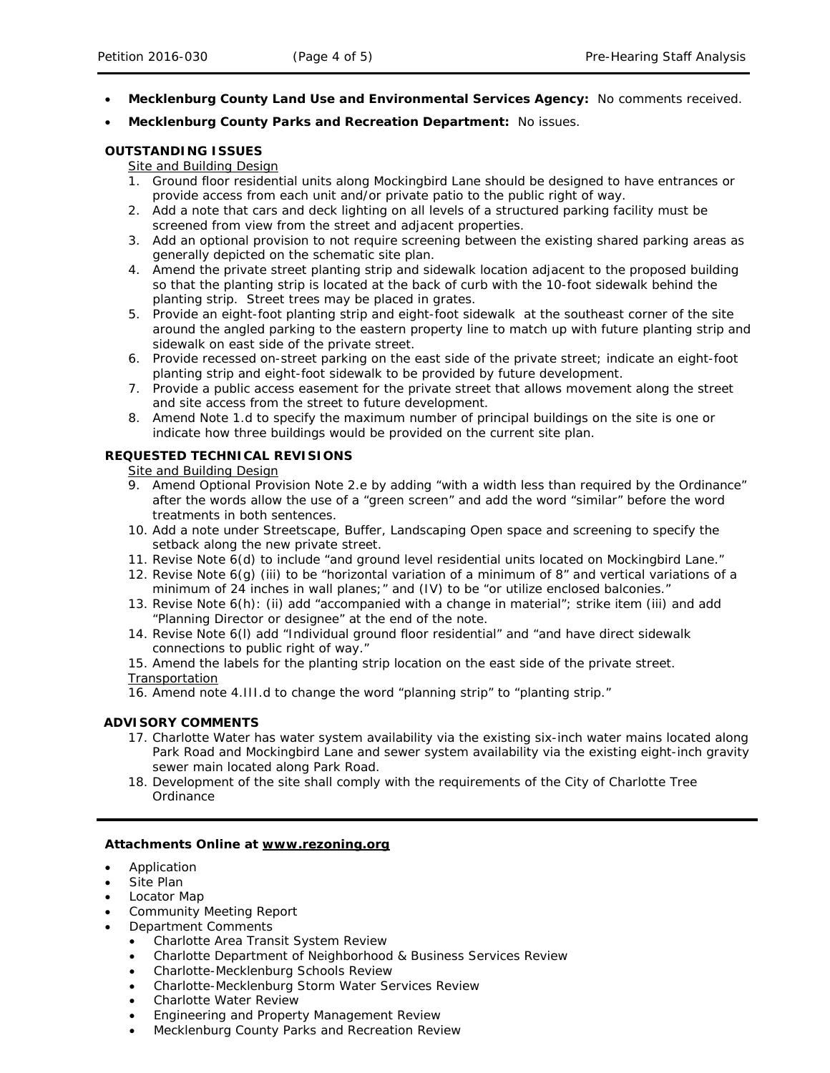- **Mecklenburg County Land Use and Environmental Services Agency:** No comments received.
- **Mecklenburg County Parks and Recreation Department:** No issues.

## **OUTSTANDING ISSUES**

# Site and Building Design

- 1. Ground floor residential units along Mockingbird Lane should be designed to have entrances or provide access from each unit and/or private patio to the public right of way.
- 2. Add a note that cars and deck lighting on all levels of a structured parking facility must be screened from view from the street and adjacent properties.
- 3. Add an optional provision to not require screening between the existing shared parking areas as generally depicted on the schematic site plan.
- 4. Amend the private street planting strip and sidewalk location adjacent to the proposed building so that the planting strip is located at the back of curb with the 10-foot sidewalk behind the planting strip. Street trees may be placed in grates.
- 5. Provide an eight-foot planting strip and eight-foot sidewalk at the southeast corner of the site around the angled parking to the eastern property line to match up with future planting strip and sidewalk on east side of the private street.
- 6. Provide recessed on-street parking on the east side of the private street; indicate an eight-foot planting strip and eight-foot sidewalk to be provided by future development.
- 7. Provide a public access easement for the private street that allows movement along the street and site access from the street to future development.
- 8. Amend Note 1.d to specify the maximum number of principal buildings on the site is one or indicate how three buildings would be provided on the current site plan.

## **REQUESTED TECHNICAL REVISIONS**

Site and Building Design

- 9. Amend Optional Provision Note 2.e by adding "with a width less than required by the Ordinance" after the words allow the use of a "green screen" and add the word "similar" before the word treatments in both sentences.
- 10. Add a note under Streetscape, Buffer, Landscaping Open space and screening to specify the setback along the new private street.
- 11. Revise Note 6(d) to include "and ground level residential units located on Mockingbird Lane."
- 12. Revise Note 6(g) (iii) to be "horizontal variation of a minimum of 8" and vertical variations of a minimum of 24 inches in wall planes;" and (IV) to be "or utilize enclosed balconies."
- 13. Revise Note 6(h): (ii) add "accompanied with a change in material"; strike item (iii) and add "Planning Director or designee" at the end of the note.
- 14. Revise Note 6(l) add "Individual ground floor residential" and "and have direct sidewalk connections to public right of way."
- 15. Amend the labels for the planting strip location on the east side of the private street. **Transportation**

16. Amend note 4.III.d to change the word "planning strip" to "planting strip."

## **ADVISORY COMMENTS**

- 17. Charlotte Water has water system availability via the existing six-inch water mains located along Park Road and Mockingbird Lane and sewer system availability via the existing eight-inch gravity sewer main located along Park Road.
- 18. Development of the site shall comply with the requirements of the City of Charlotte Tree Ordinance

### **Attachments Online at www.rezoning.org**

- Application
- Site Plan
- Locator Map
- Community Meeting Report
- Department Comments
	- Charlotte Area Transit System Review
	- Charlotte Department of Neighborhood & Business Services Review
	- Charlotte-Mecklenburg Schools Review
	- Charlotte-Mecklenburg Storm Water Services Review
	- Charlotte Water Review
	- Engineering and Property Management Review
	- Mecklenburg County Parks and Recreation Review